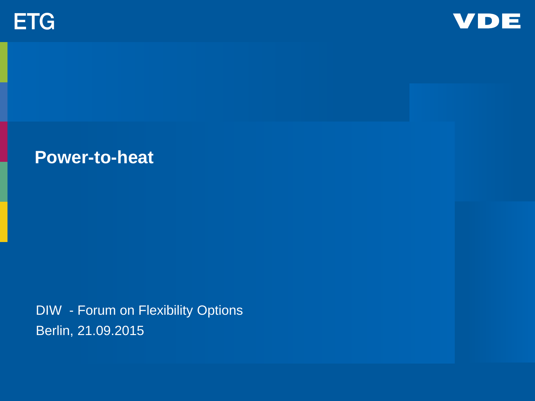



# **Power-to-heat**

DIW - Forum on Flexibility Options Berlin, 21.09.2015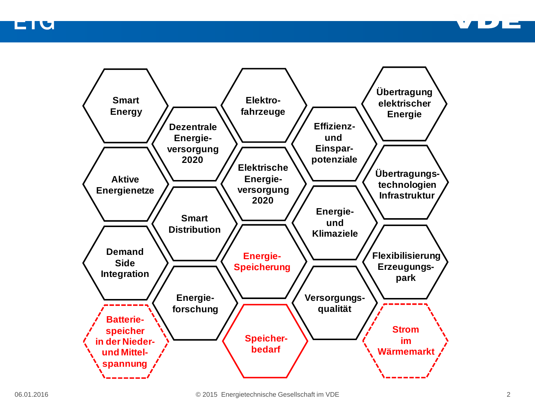EIU



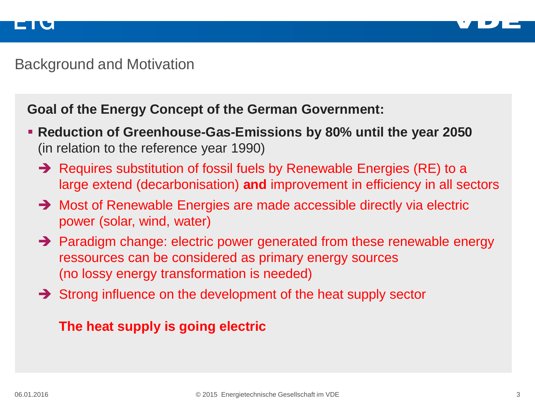

## Background and Motivation

#### **Goal of the Energy Concept of the German Government:**

- **Reduction of Greenhouse-Gas-Emissions by 80% until the year 2050**  (in relation to the reference year 1990)
	- $\rightarrow$  Requires substitution of fossil fuels by Renewable Energies (RE) to a large extend (decarbonisation) **and** improvement in efficiency in all sectors
	- → Most of Renewable Energies are made accessible directly via electric power (solar, wind, water)
	- → Paradigm change: electric power generated from these renewable energy ressources can be considered as primary energy sources (no lossy energy transformation is needed)
	- $\rightarrow$  Strong influence on the development of the heat supply sector

#### **The heat supply is going electric**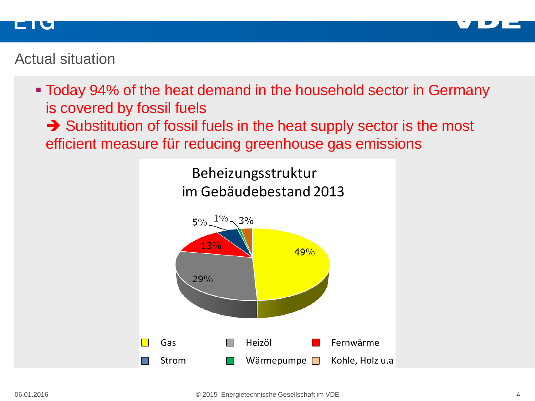

#### ET I G

# Actual situation

 Today 94% of the heat demand in the household sector in Germany is covered by fossil fuels

Substitution of fossil fuels in the heat supply sector is the most efficient measure für reducing greenhouse gas emissions

> Beheizungsstruktur im Gebäudebestand 2013

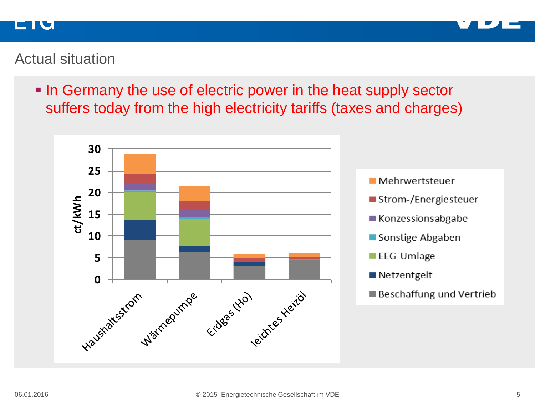



# Actual situation

In Germany the use of electric power in the heat supply sector suffers today from the high electricity tariffs (taxes and charges)

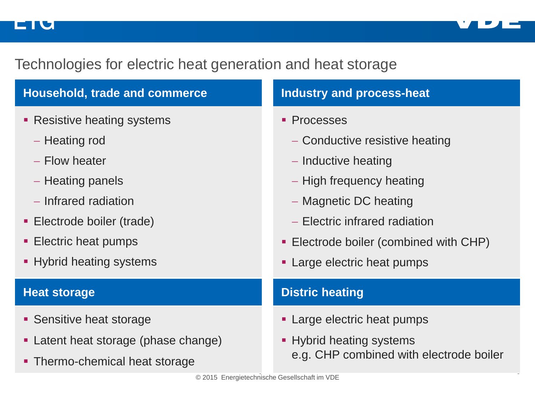#### EIU



6

# Technologies for electric heat generation and heat storage

| <b>Household, trade and commerce</b>                                                                                                                                                                                                                                                                                                                                                                                   | <b>Industry and process-heat</b>        |
|------------------------------------------------------------------------------------------------------------------------------------------------------------------------------------------------------------------------------------------------------------------------------------------------------------------------------------------------------------------------------------------------------------------------|-----------------------------------------|
| Resistive heating systems<br>٠                                                                                                                                                                                                                                                                                                                                                                                         | • Processes                             |
| - Heating rod                                                                                                                                                                                                                                                                                                                                                                                                          | - Conductive resistive heating          |
| - Flow heater                                                                                                                                                                                                                                                                                                                                                                                                          | - Inductive heating                     |
| - Heating panels                                                                                                                                                                                                                                                                                                                                                                                                       | - High frequency heating                |
| - Infrared radiation                                                                                                                                                                                                                                                                                                                                                                                                   | - Magnetic DC heating                   |
| • Electrode boiler (trade)                                                                                                                                                                                                                                                                                                                                                                                             | - Electric infrared radiation           |
| • Electric heat pumps                                                                                                                                                                                                                                                                                                                                                                                                  | • Electrode boiler (combined with CHP)  |
| • Hybrid heating systems                                                                                                                                                                                                                                                                                                                                                                                               | • Large electric heat pumps             |
| <b>Heat storage</b>                                                                                                                                                                                                                                                                                                                                                                                                    | <b>Distric heating</b>                  |
| • Sensitive heat storage                                                                                                                                                                                                                                                                                                                                                                                               | • Large electric heat pumps             |
| Latent heat storage (phase change)<br>٠                                                                                                                                                                                                                                                                                                                                                                                | • Hybrid heating systems                |
| • Thermo-chemical heat storage                                                                                                                                                                                                                                                                                                                                                                                         | e.g. CHP combined with electrode boiler |
| $\bigcirc$ $\bigcirc$ $\bigcirc$ $\bigcirc$ $\bigcirc$ $\bigcirc$ $\bigcirc$ $\bigcirc$ $\bigcirc$ $\bigcirc$ $\bigcirc$ $\bigcirc$ $\bigcirc$ $\bigcirc$ $\bigcirc$ $\bigcirc$ $\bigcirc$ $\bigcirc$ $\bigcirc$ $\bigcirc$ $\bigcirc$ $\bigcirc$ $\bigcirc$ $\bigcirc$ $\bigcirc$ $\bigcirc$ $\bigcirc$ $\bigcirc$ $\bigcirc$ $\bigcirc$ $\bigcirc$ $\bigcirc$ $\bigcirc$ $\bigcirc$ $\bigcirc$ $\bigcirc$ $\bigcirc$ |                                         |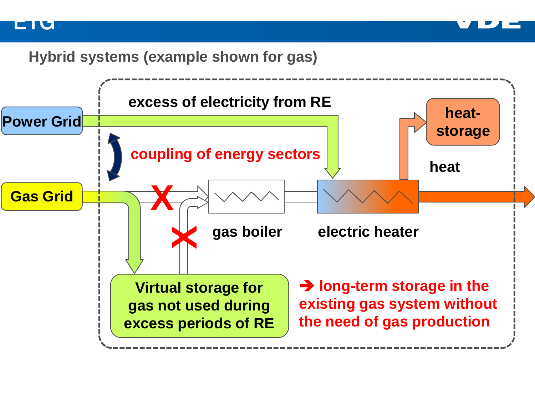



## **Hybrid systems (example shown for gas)**

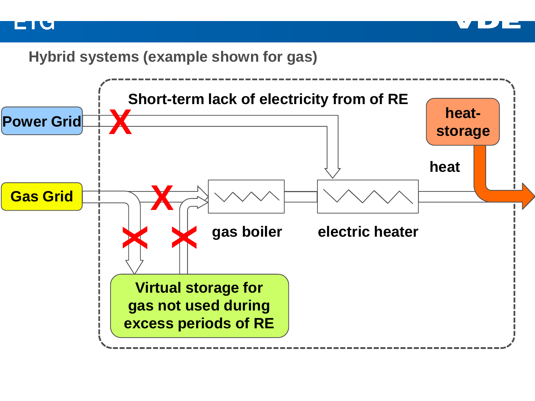



## **Hybrid systems (example shown for gas)**

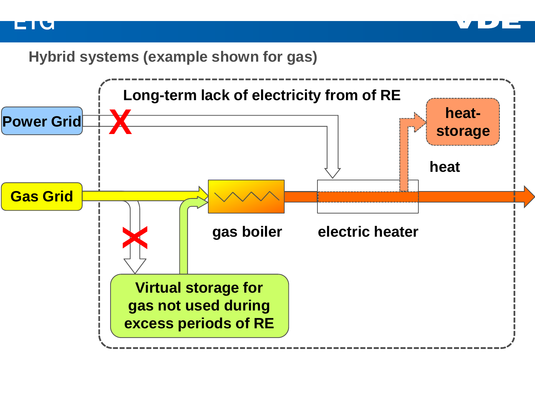



# **Hybrid systems (example shown for gas)**

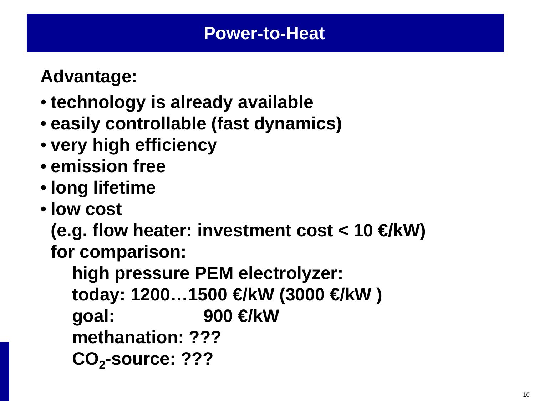**Advantage:**

- **technology is already available**
- **easily controllable (fast dynamics)**
- **very high efficiency**
- **emission free**
- **long lifetime**
- **low cost**

**(e.g. flow heater: investment cost < 10 €/kW) for comparison:**

**high pressure PEM electrolyzer: today: 1200…1500 €/kW (3000 €/kW ) goal: 900 €/kW methanation: ???** CO<sub>2</sub>-source: ???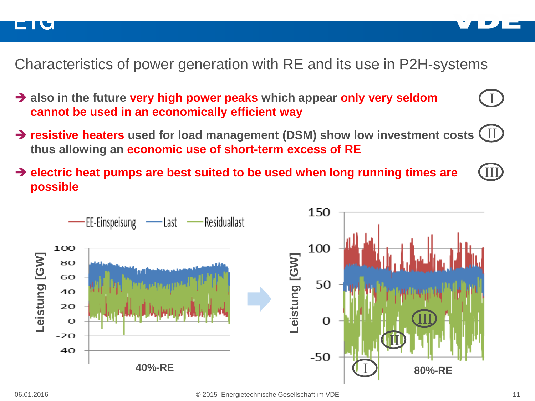



- **also in the future very high power peaks which appear only very seldom cannot be used in an economically efficient way**
- **resistive heaters used for load management (DSM) show low investment costs** II **thus allowing an economic use of short-term excess of RE**
- **electric heat pumps are best suited to be used when long running times are possible**



I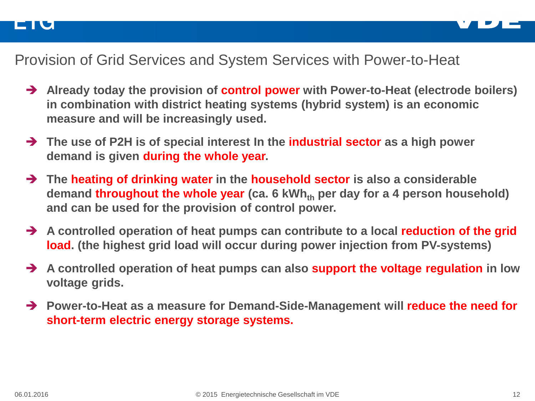

# Provision of Grid Services and System Services with Power-to-Heat

- **Already today the provision of control power with Power-to-Heat (electrode boilers) in combination with district heating systems (hybrid system) is an economic measure and will be increasingly used.**
- **The use of P2H is of special interest In the industrial sector as a high power demand is given during the whole year.**
- **The heating of drinking water in the household sector is also a considerable demand throughout the whole year** (ca. 6 kWh<sub>th</sub> per day for a 4 person household) **and can be used for the provision of control power.**
- **A controlled operation of heat pumps can contribute to a local reduction of the grid load. (the highest grid load will occur during power injection from PV-systems)**
- **A controlled operation of heat pumps can also support the voltage regulation in low voltage grids.**
- **Power-to-Heat as a measure for Demand-Side-Management will reduce the need for short-term electric energy storage systems.**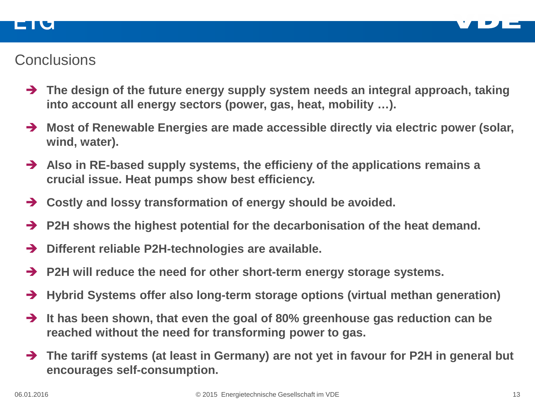

# **Conclusions**

ETU

- **The design of the future energy supply system needs an integral approach, taking into account all energy sectors (power, gas, heat, mobility …).**
- → Most of Renewable Energies are made accessible directly via electric power (solar, **wind, water).**
- **Also in RE-based supply systems, the efficieny of the applications remains a crucial issue. Heat pumps show best efficiency.**
- **Costly and lossy transformation of energy should be avoided.**
- **P2H shows the highest potential for the decarbonisation of the heat demand.**
- **Different reliable P2H-technologies are available.**
- **P2H will reduce the need for other short-term energy storage systems.**
- **Hybrid Systems offer also long-term storage options (virtual methan generation)**
- **It has been shown, that even the goal of 80% greenhouse gas reduction can be reached without the need for transforming power to gas.**
- **The tariff systems (at least in Germany) are not yet in favour for P2H in general but encourages self-consumption.**